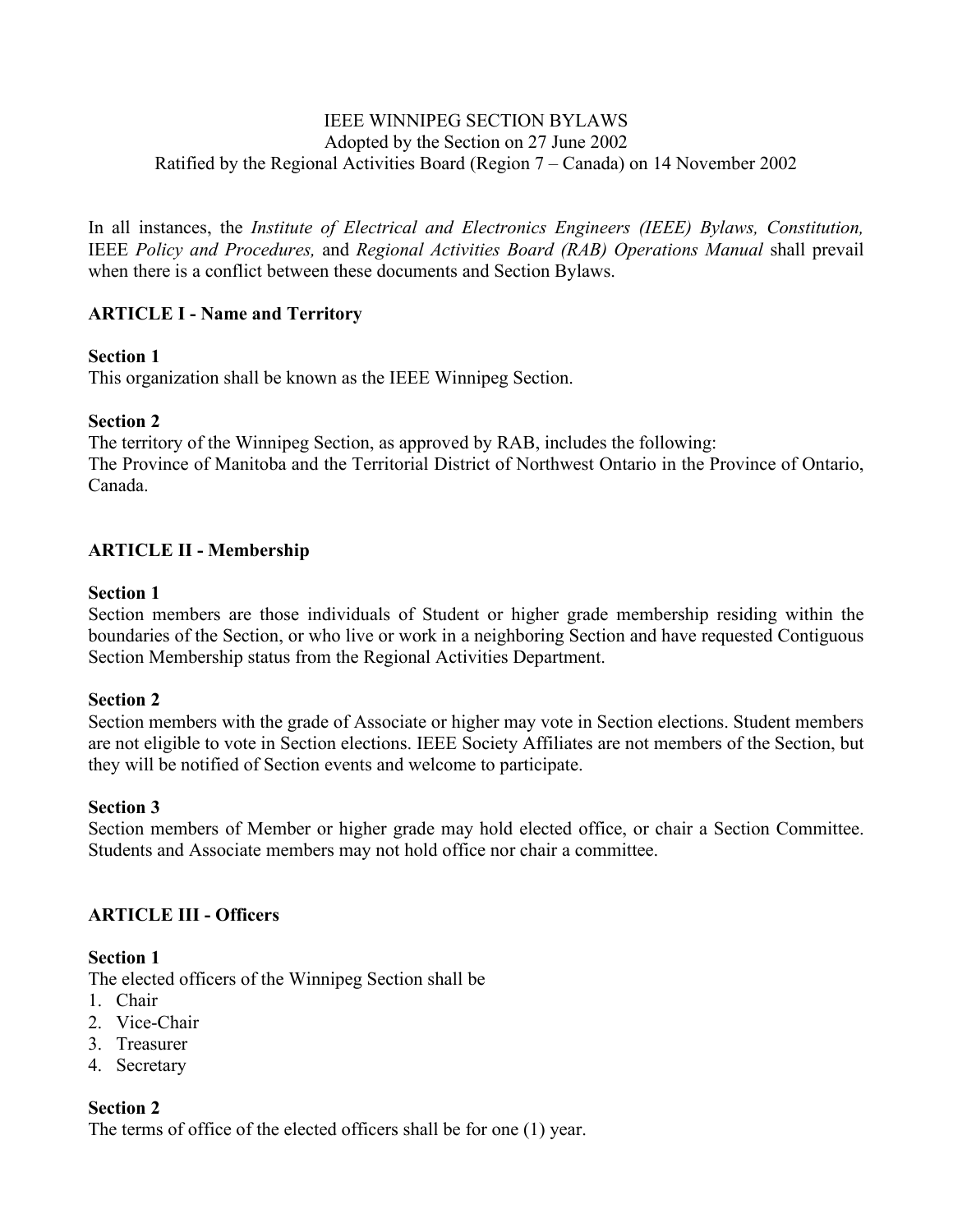### IEEE WINNIPEG SECTION BYLAWS Adopted by the Section on 27 June 2002 Ratified by the Regional Activities Board (Region 7 – Canada) on 14 November 2002

In all instances, the *Institute of Electrical and Electronics Engineers (IEEE) Bylaws, Constitution,*  IEEE *Policy and Procedures,* and *Regional Activities Board (RAB) Operations Manual* shall prevail when there is a conflict between these documents and Section Bylaws.

# **ARTICLE I - Name and Territory**

# **Section 1**

This organization shall be known as the IEEE Winnipeg Section.

# **Section 2**

The territory of the Winnipeg Section, as approved by RAB, includes the following: The Province of Manitoba and the Territorial District of Northwest Ontario in the Province of Ontario, Canada.

# **ARTICLE II - Membership**

### **Section 1**

Section members are those individuals of Student or higher grade membership residing within the boundaries of the Section, or who live or work in a neighboring Section and have requested Contiguous Section Membership status from the Regional Activities Department.

# **Section 2**

Section members with the grade of Associate or higher may vote in Section elections. Student members are not eligible to vote in Section elections. IEEE Society Affiliates are not members of the Section, but they will be notified of Section events and welcome to participate.

### **Section 3**

Section members of Member or higher grade may hold elected office, or chair a Section Committee. Students and Associate members may not hold office nor chair a committee.

# **ARTICLE III - Officers**

# **Section 1**

The elected officers of the Winnipeg Section shall be

- 1. Chair
- 2. Vice-Chair
- 3. Treasurer
- 4. Secretary

# **Section 2**

The terms of office of the elected officers shall be for one (1) year.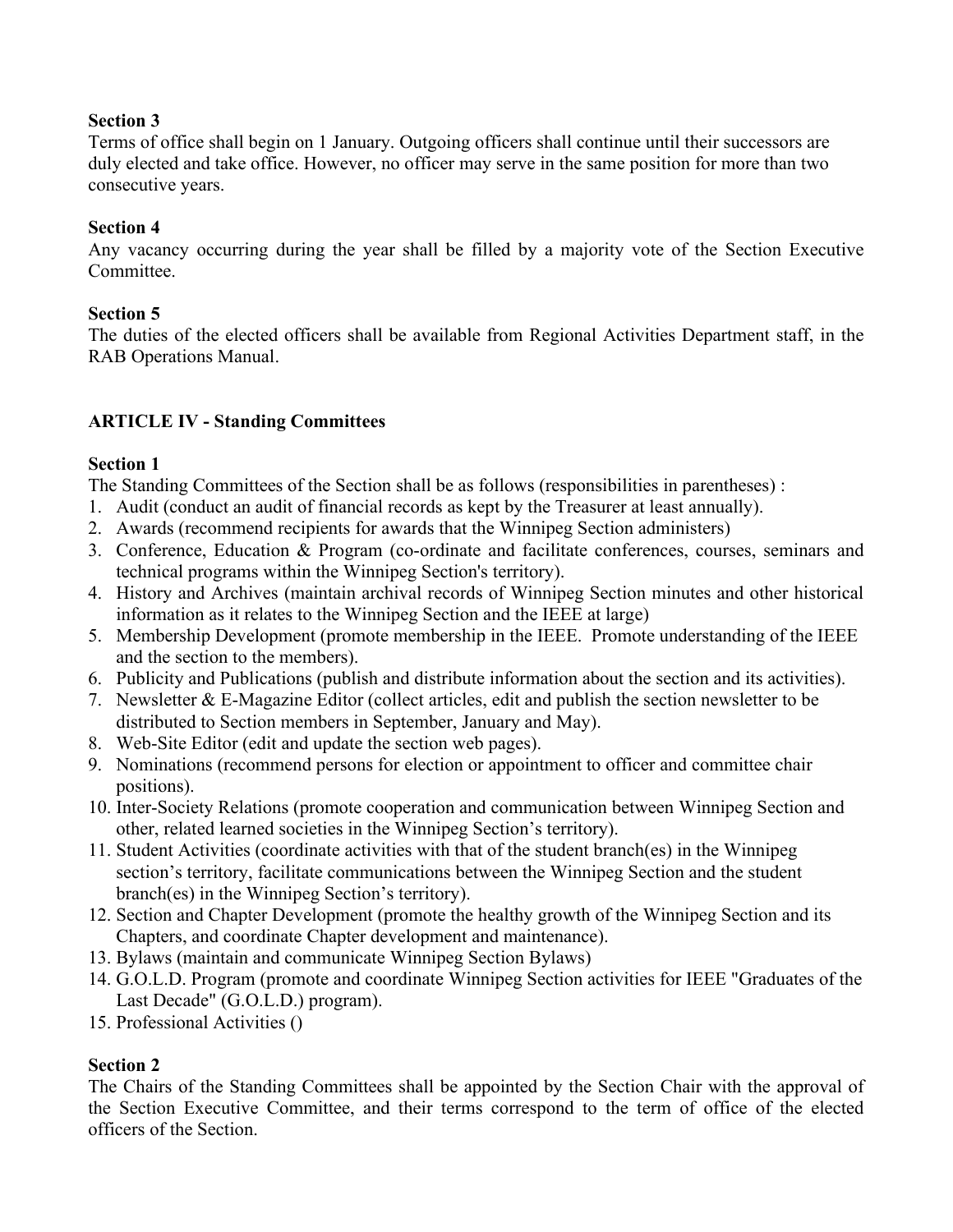### **Section 3**

Terms of office shall begin on 1 January. Outgoing officers shall continue until their successors are duly elected and take office. However, no officer may serve in the same position for more than two consecutive years.

# **Section 4**

Any vacancy occurring during the year shall be filled by a majority vote of the Section Executive Committee.

# **Section 5**

The duties of the elected officers shall be available from Regional Activities Department staff, in the RAB Operations Manual.

# **ARTICLE IV - Standing Committees**

# **Section 1**

The Standing Committees of the Section shall be as follows (responsibilities in parentheses) :

- 1. Audit (conduct an audit of financial records as kept by the Treasurer at least annually).
- 2. Awards (recommend recipients for awards that the Winnipeg Section administers)
- 3. Conference, Education & Program (co-ordinate and facilitate conferences, courses, seminars and technical programs within the Winnipeg Section's territory).
- 4. History and Archives (maintain archival records of Winnipeg Section minutes and other historical information as it relates to the Winnipeg Section and the IEEE at large)
- 5. Membership Development (promote membership in the IEEE. Promote understanding of the IEEE and the section to the members).
- 6. Publicity and Publications (publish and distribute information about the section and its activities).
- 7. Newsletter & E-Magazine Editor (collect articles, edit and publish the section newsletter to be distributed to Section members in September, January and May).
- 8. Web-Site Editor (edit and update the section web pages).
- 9. Nominations (recommend persons for election or appointment to officer and committee chair positions).
- 10. Inter-Society Relations (promote cooperation and communication between Winnipeg Section and other, related learned societies in the Winnipeg Section's territory).
- 11. Student Activities (coordinate activities with that of the student branch(es) in the Winnipeg section's territory, facilitate communications between the Winnipeg Section and the student branch(es) in the Winnipeg Section's territory).
- 12. Section and Chapter Development (promote the healthy growth of the Winnipeg Section and its Chapters, and coordinate Chapter development and maintenance).
- 13. Bylaws (maintain and communicate Winnipeg Section Bylaws)
- 14. G.O.L.D. Program (promote and coordinate Winnipeg Section activities for IEEE "Graduates of the Last Decade" (G.O.L.D.) program).
- 15. Professional Activities ()

# **Section 2**

The Chairs of the Standing Committees shall be appointed by the Section Chair with the approval of the Section Executive Committee, and their terms correspond to the term of office of the elected officers of the Section.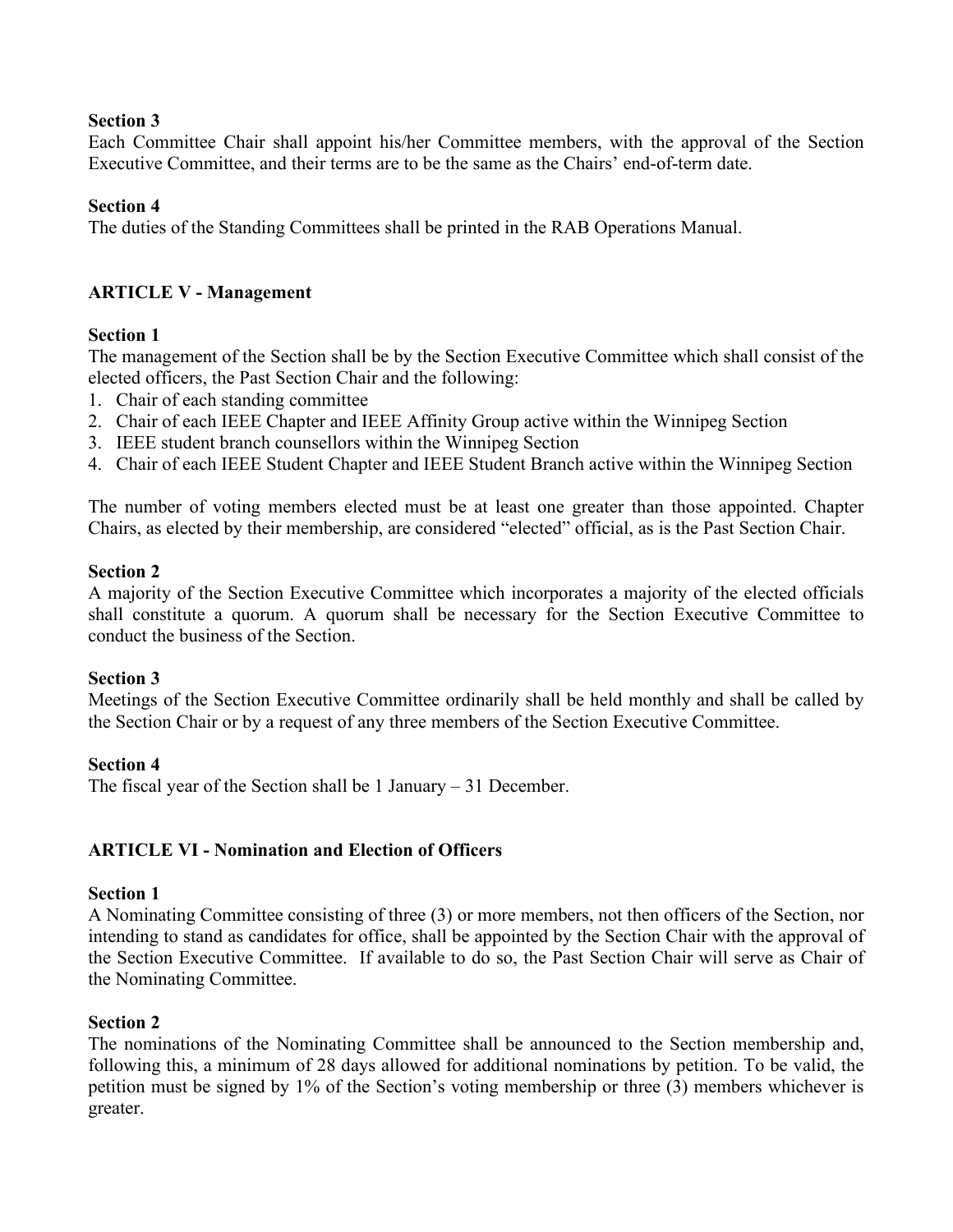### **Section 3**

Each Committee Chair shall appoint his/her Committee members, with the approval of the Section Executive Committee, and their terms are to be the same as the Chairs' end-of-term date.

### **Section 4**

The duties of the Standing Committees shall be printed in the RAB Operations Manual.

### **ARTICLE V - Management**

### **Section 1**

The management of the Section shall be by the Section Executive Committee which shall consist of the elected officers, the Past Section Chair and the following:

- 1. Chair of each standing committee
- 2. Chair of each IEEE Chapter and IEEE Affinity Group active within the Winnipeg Section
- 3. IEEE student branch counsellors within the Winnipeg Section
- 4. Chair of each IEEE Student Chapter and IEEE Student Branch active within the Winnipeg Section

The number of voting members elected must be at least one greater than those appointed. Chapter Chairs, as elected by their membership, are considered "elected" official, as is the Past Section Chair.

### **Section 2**

A majority of the Section Executive Committee which incorporates a majority of the elected officials shall constitute a quorum. A quorum shall be necessary for the Section Executive Committee to conduct the business of the Section.

### **Section 3**

Meetings of the Section Executive Committee ordinarily shall be held monthly and shall be called by the Section Chair or by a request of any three members of the Section Executive Committee.

### **Section 4**

The fiscal year of the Section shall be 1 January – 31 December.

# **ARTICLE VI - Nomination and Election of Officers**

### **Section 1**

A Nominating Committee consisting of three (3) or more members, not then officers of the Section, nor intending to stand as candidates for office, shall be appointed by the Section Chair with the approval of the Section Executive Committee. If available to do so, the Past Section Chair will serve as Chair of the Nominating Committee.

### **Section 2**

The nominations of the Nominating Committee shall be announced to the Section membership and, following this, a minimum of 28 days allowed for additional nominations by petition. To be valid, the petition must be signed by 1% of the Section's voting membership or three (3) members whichever is greater.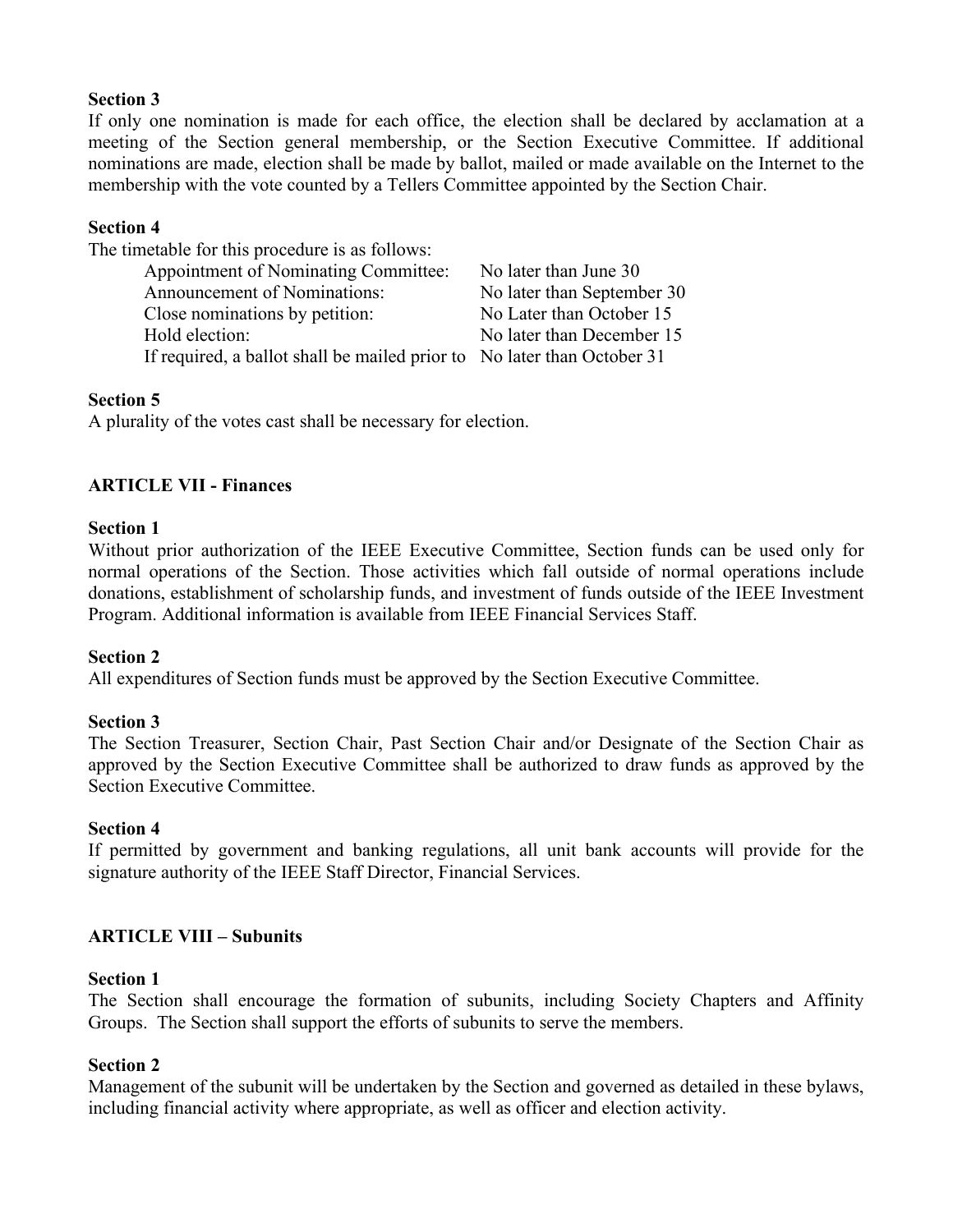### **Section 3**

If only one nomination is made for each office, the election shall be declared by acclamation at a meeting of the Section general membership, or the Section Executive Committee. If additional nominations are made, election shall be made by ballot, mailed or made available on the Internet to the membership with the vote counted by a Tellers Committee appointed by the Section Chair.

### **Section 4**

| The timetable for this procedure is as follows:                         |                            |
|-------------------------------------------------------------------------|----------------------------|
| Appointment of Nominating Committee:                                    | No later than June 30      |
| Announcement of Nominations:                                            | No later than September 30 |
| Close nominations by petition:                                          | No Later than October 15   |
| Hold election:                                                          | No later than December 15  |
| If required, a ballot shall be mailed prior to No later than October 31 |                            |

### **Section 5**

A plurality of the votes cast shall be necessary for election.

### **ARTICLE VII - Finances**

#### **Section 1**

Without prior authorization of the IEEE Executive Committee, Section funds can be used only for normal operations of the Section. Those activities which fall outside of normal operations include donations, establishment of scholarship funds, and investment of funds outside of the IEEE Investment Program. Additional information is available from IEEE Financial Services Staff.

### **Section 2**

All expenditures of Section funds must be approved by the Section Executive Committee.

#### **Section 3**

The Section Treasurer, Section Chair, Past Section Chair and/or Designate of the Section Chair as approved by the Section Executive Committee shall be authorized to draw funds as approved by the Section Executive Committee.

#### **Section 4**

If permitted by government and banking regulations, all unit bank accounts will provide for the signature authority of the IEEE Staff Director, Financial Services.

### **ARTICLE VIII – Subunits**

#### **Section 1**

The Section shall encourage the formation of subunits, including Society Chapters and Affinity Groups. The Section shall support the efforts of subunits to serve the members.

### **Section 2**

Management of the subunit will be undertaken by the Section and governed as detailed in these bylaws, including financial activity where appropriate, as well as officer and election activity.